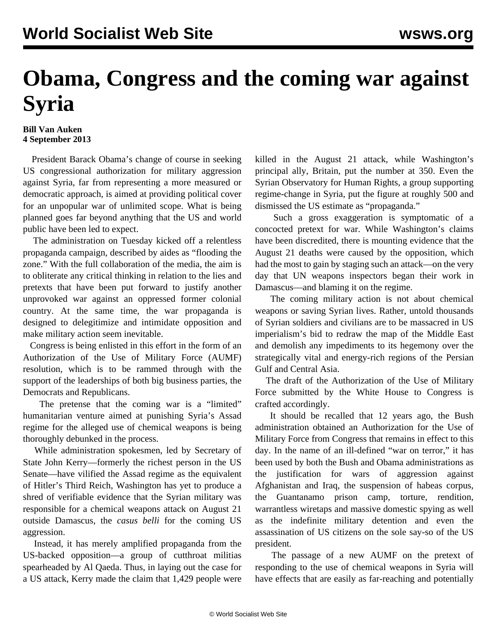## **Obama, Congress and the coming war against Syria**

## **Bill Van Auken 4 September 2013**

 President Barack Obama's change of course in seeking US congressional authorization for military aggression against Syria, far from representing a more measured or democratic approach, is aimed at providing political cover for an unpopular war of unlimited scope. What is being planned goes far beyond anything that the US and world public have been led to expect.

 The administration on Tuesday kicked off a relentless propaganda campaign, described by aides as "flooding the zone." With the full collaboration of the media, the aim is to obliterate any critical thinking in relation to the lies and pretexts that have been put forward to justify another unprovoked war against an oppressed former colonial country. At the same time, the war propaganda is designed to delegitimize and intimidate opposition and make military action seem inevitable.

 Congress is being enlisted in this effort in the form of an Authorization of the Use of Military Force (AUMF) resolution, which is to be rammed through with the support of the leaderships of both big business parties, the Democrats and Republicans.

 The pretense that the coming war is a "limited" humanitarian venture aimed at punishing Syria's Assad regime for the alleged use of chemical weapons is being thoroughly debunked in the process.

 While administration spokesmen, led by Secretary of State John Kerry—formerly the richest person in the US Senate—have vilified the Assad regime as the equivalent of Hitler's Third Reich, Washington has yet to produce a shred of verifiable evidence that the Syrian military was responsible for a chemical weapons attack on August 21 outside Damascus, the *casus belli* for the coming US aggression.

 Instead, it has merely amplified propaganda from the US-backed opposition—a group of cutthroat militias spearheaded by Al Qaeda. Thus, in laying out the case for a US attack, Kerry made the claim that 1,429 people were killed in the August 21 attack, while Washington's principal ally, Britain, put the number at 350. Even the Syrian Observatory for Human Rights, a group supporting regime-change in Syria, put the figure at roughly 500 and dismissed the US estimate as "propaganda."

 Such a gross exaggeration is symptomatic of a concocted pretext for war. While Washington's claims have been discredited, there is mounting evidence that the August 21 deaths were caused by the opposition, which had the most to gain by staging such an attack—on the very day that UN weapons inspectors began their work in Damascus—and blaming it on the regime.

 The coming military action is not about chemical weapons or saving Syrian lives. Rather, untold thousands of Syrian soldiers and civilians are to be massacred in US imperialism's bid to redraw the map of the Middle East and demolish any impediments to its hegemony over the strategically vital and energy-rich regions of the Persian Gulf and Central Asia.

 The draft of the Authorization of the Use of Military Force submitted by the White House to Congress is crafted accordingly.

 It should be recalled that 12 years ago, the Bush administration obtained an Authorization for the Use of Military Force from Congress that remains in effect to this day. In the name of an ill-defined "war on terror," it has been used by both the Bush and Obama administrations as the justification for wars of aggression against Afghanistan and Iraq, the suspension of habeas corpus, the Guantanamo prison camp, torture, rendition, warrantless wiretaps and massive domestic spying as well as the indefinite military detention and even the assassination of US citizens on the sole say-so of the US president.

 The passage of a new AUMF on the pretext of responding to the use of chemical weapons in Syria will have effects that are easily as far-reaching and potentially